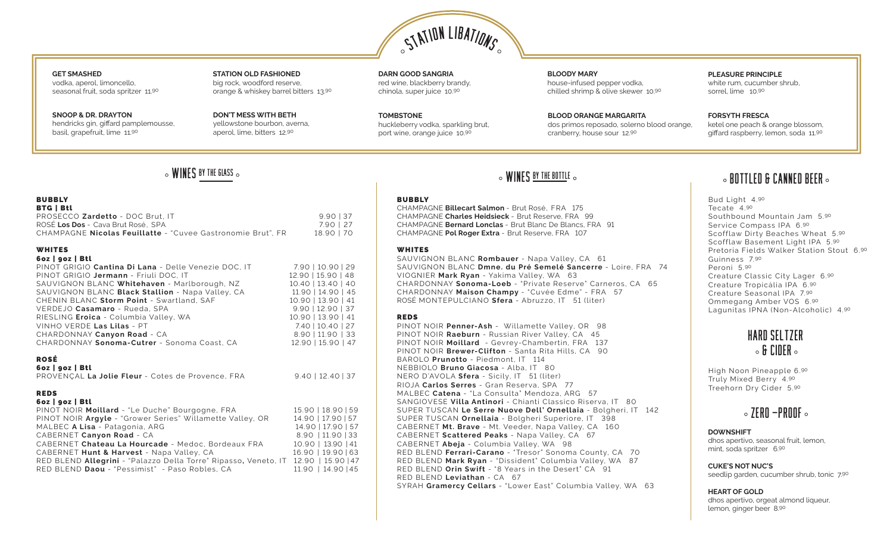

### **GET SMASHED** vodka, aperol, limoncello, seasonal fruit, soda spritzer 11.90

**SNOOP & DR. DRAYTON** hendricks gin, giffard pamplemousse, basil, grapefruit, lime 11.90

**STATION OLD FASHIONED** big rock, woodford reserve, orange & whiskey barrel bitters 13.90

**DON'T MESS WITH BETH**  yellowstone bourbon, averna, aperol, lime, bitters 12.90

**DARN GOOD SANGRIA** red wine, blackberry brandy, chinola, super juice 10.90

**TOMBSTONE** huckleberry vodka, sparkling brut, port wine, orange juice 10.90

**BLOODY MARY**  house-infused pepper vodka, chilled shrimp & olive skewer 10.90

**BLOOD ORANGE MARGARITA** dos primos reposado, solerno blood orange, cranberry, house sour 12.90

**PLEASURE PRINCIPLE**  white rum, cucumber shrub, sorrel, lime 10.90

**FORSYTH FRESCA** ketel one peach & orange blossom, giffard raspberry, lemon, soda 11.90

### BUBBLY BTG | Btl PROSECCO **Zardetto** - DOC Brut, IT<br>
ROSÉ Los Dos - Cava Brut Rosé, SPA<br>
7.90 | 27 ROSÉ Los Dos - Cava Brut Rosé, SPA CHAMPAGNE **Nicolas Feuillatte** - "Cuvee Gastronomie Brut", FR 18.90 | 70

### WHITES 6oz | 9oz | Btl

### PINOT GRIGIO **Cantina Di Lana** - Delle Venezie DOC, IT 7.90 | 10.90 | 29 PINOT GRIGIO **Jermann** - Friuli DOC, IT 12.90 | 15.90 | 48<br>SAUVIGNON BLANC Whitehaven - Marlborough, NZ 10.40 | 13.40 | 40 SAUVIGNON BLANC Whitehaven - Marlborough, NZ SAUVIGNON BLANC **Black Stallion** - Napa Valley, CA 11.90 | 14.90 | 45<br>CHENIN BLANC Storm Point - Swartland. SAF 10.90 | 13.90 | 41 CHENIN BLANC Storm Point - Swartland, SAF VERDEJO **Casamaro** - Rueda, SPA 9.90 | 12.90 | 37 RIESLING **Eroica** - Columbia Valley, WA 10.90 | 13.90 | 41<br>VINHO VERDE **Las Lilas** - PT 7.40 | 10.40 | 27 VINHO VERDE Las Lilas - PT CHARDONNAY **Canyon Road** - CA 8.90 | 11.90 | 33 CHARDONNAY **Sonoma-Cutrer** - Sonoma Coast, CA 12.90 | 15.90 | 47

### ROSÉ

|  | 6oz   goz   Btl |  |
|--|-----------------|--|
|--|-----------------|--|

| PROVENÇAL La Jolie Fleur - Cotes de Provence, FRA | $9.40$   12.40   37 |
|---------------------------------------------------|---------------------|

### REDS

|  | 6oz   goz   Btl |  |
|--|-----------------|--|
|--|-----------------|--|

| PINOT NOIR Moillard - "Le Duche" Bourgogne, FRA                 | 15.90   18.90   59 |
|-----------------------------------------------------------------|--------------------|
| PINOT NOIR Argyle - "Grower Series" Willamette Valley, OR       | 14.90   17.90   57 |
| MALBEC A Lisa - Patagonia, ARG                                  | 14.90   17.90   57 |
| CABERNET Canyon Road - CA                                       | 8.90   11.90   33  |
| CABERNET Chateau La Hourcade - Medoc, Bordeaux FRA              | 10.90   13.90   41 |
| CABERNET Hunt & Harvest - Napa Valley, CA                       | 16.90   19.90   63 |
| RED BLEND Allegrini - "Palazzo Della Torre" Ripasso, Veneto, IT | 12.90   15.90   47 |
| RED BLEND Daou - "Pessimist" - Paso Robles, CA                  | 11.90   14.90   45 |
|                                                                 |                    |

### BUBBLY

CHAMPAGNE **Billecart Salmon** - Brut Rosé, FRA 175 CHAMPAGNE **Charles Heidsieck** - Brut Reserve, FRA 99 CHAMPAGNE **Bernard Lonclas** - Brut Blanc De Blancs, FRA 91 CHAMPAGNE **Pol Roger Extra** - Brut Reserve, FRA 107

### WHITES

SAUVIGNON BLANC **Rombauer** - Napa Valley, CA 61 SAUVIGNON BLANC **Dmne. du Pré Semelé Sancerre** - Loire, FRA 74 VIOGNIER **Mark Ryan** - Yakima Valley, WA 63 CHARDONNAY **Sonoma-Loeb** - "Private Reserve" Carneros, CA 65 CHARDONNAY **Maison Champy** - "Cuvée Edme" - FRA 57 ROSÉ MONTEPULCIANO **Sfera** - Abruzzo, IT 51 (liter)

### REDS

PINOT NOIR **Penner-Ash** - Willamette Valley, OR 98 PINOT NOIR **Raeburn** - Russian River Valley, CA 45 PINOT NOIR **Moillard** - Gevrey-Chambertin, FRA 137 PINOT NOIR **Brewer-Clifton** - Santa Rita Hills, CA 90 BAROLO **Prunotto** - Piedmont, IT 114 NEBBIOLO **Bruno Giacosa** - Alba, IT 80 NERO D'AVOLA **Sfera** - Sicily, IT 51 (liter) RIOJA **Carlos Serres** - Gran Reserva, SPA 77 MALBEC **Catena** - "La Consulta" Mendoza, ARG 57 SANGIOVESE **Villa Antinori** - Chianti Classico Riserva, IT 80 SUPER TUSCAN **Le Serre Nuove Dell' Ornellaia** - Bolgheri, IT 142 SUPER TUSCAN **Ornellaia** - Bolgheri Superiore, IT 398 CABERNET **Mt. Brave** - Mt. Veeder, Napa Valley, CA 160 CABERNET **Scattered Peaks** - Napa Valley, CA 67 CABERNET **Abeja** - Columbia Valley, WA 98 RED BLEND **Ferrari-Carano** - "Tresor" Sonoma County, CA 70 RED BLEND **Mark Ryan** - "Dissident" Columbia Valley, WA 87 RED BLEND **Orin Swift** - "8 Years in the Desert" CA 91 RED BLEND **Leviathan** - CA 67 SYRAH **Gramercy Cellars** - "Lower East" Columbia Valley, WA 63

# $\sim$  WINES <u>by the glass</u>  $\sim$  both the canned beer  $\sim$  wines by the bottle  $\sim$   $\sim$  bottled & canned beer  $\sim$

Bud Light 4.90 Tecate 4.90 Southbound Mountain Jam 5.90 Service Compass IPA 6.90 Scofflaw Dirty Beaches Wheat 5.90 Scofflaw Basement Light IPA 5.90 Pretoria Fields Walker Station Stout 6.90 Guinness 7.90 Peroni 5.90 Creature Classic City Lager 6.90 Creature Tropicália IPA 6.90 Creature Seasonal IPA 7.90 Ommegang Amber VOS 6.90 Lagunitas IPNA (Non-Alcoholic) 4.90



High Noon Pineapple 6.90 Truly Mixed Berry 4.90 Treehorn Dry Cider 5.90

## $\circ$  7FRN -PRNNF  $\circ$

### **DOWNSHIFT**

dhos apertivo, seasonal fruit, lemon, mint, soda spritzer 6.90

**CUKE'S NOT NUC'S**

seedlip garden, cucumber shrub, tonic 7.90

### **HEART OF GOLD**

dhos apertivo, orgeat almond liqueur, lemon, ginger beer 8.90